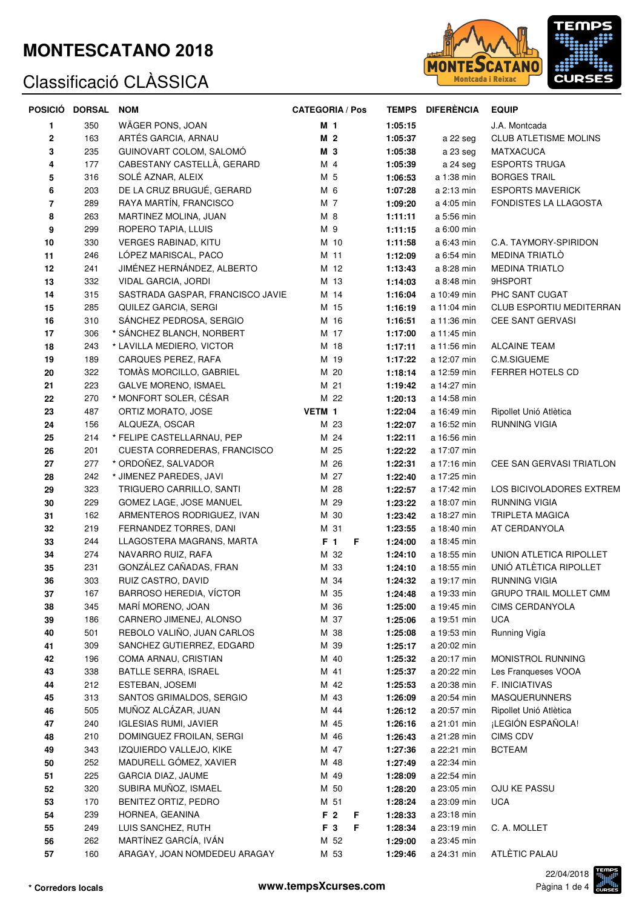### **MONTESCATANO 2018**

# Classificació CLÀSSICA



|            | POSICIÓ DORSAL | <b>NOM</b>                       | <b>CATEGORIA / Pos</b> |         | <b>TEMPS DIFERÈNCIA</b> | <b>EQUIP</b>                 |
|------------|----------------|----------------------------------|------------------------|---------|-------------------------|------------------------------|
| 1          | 350            | WÄGER PONS, JOAN                 | M 1                    | 1:05:15 |                         | J.A. Montcada                |
| 2          | 163            | ARTÉS GARCIA, ARNAU              | M <sub>2</sub>         | 1:05:37 | a 22 seg                | <b>CLUB ATLETISME MOLINS</b> |
| 3          | 235            | GUINOVART COLOM, SALOMO          | M 3                    | 1:05:38 | a 23 seg                | <b>MATXACUCA</b>             |
| 4          | 177            | CABESTANY CASTELLÀ, GERARD       | M 4                    | 1:05:39 | a 24 seg                | <b>ESPORTS TRUGA</b>         |
| 5          | 316            | SOLÉ AZNAR, ALEIX                | M 5                    | 1:06:53 | a 1:38 min              | <b>BORGES TRAIL</b>          |
| 6          | 203            | DE LA CRUZ BRUGUÉ, GERARD        | M 6                    | 1:07:28 | a 2:13 min              | <b>ESPORTS MAVERICK</b>      |
| 7          | 289            | RAYA MARTÍN, FRANCISCO           | M 7                    | 1:09:20 | a 4:05 min              | FONDISTES LA LLAGOSTA        |
| 8          | 263            | MARTINEZ MOLINA, JUAN            | M 8                    | 1:11:11 | a 5:56 min              |                              |
| 9          | 299            | ROPERO TAPIA, LLUIS              | M 9                    | 1:11:15 | a 6:00 min              |                              |
| 10         | 330            | <b>VERGES RABINAD, KITU</b>      | M 10                   | 1:11:58 | a 6:43 min              | C.A. TAYMORY-SPIRIDON        |
| 11         | 246            | LÓPEZ MARISCAL, PACO             | M 11                   | 1:12:09 | a 6:54 min              | MEDINA TRIATLÒ               |
| 12         | 241            | JIMÉNEZ HERNÁNDEZ, ALBERTO       | M 12                   | 1:13:43 | a 8:28 min              | <b>MEDINA TRIATLO</b>        |
| 13         | 332            | VIDAL GARCIA, JORDI              | M 13                   | 1:14:03 | a 8:48 min              | 9HSPORT                      |
| 14         | 315            | SASTRADA GASPAR, FRANCISCO JAVIE | M 14                   | 1:16:04 | a 10:49 min             | PHC SANT CUGAT               |
| 15         | 285            | QUILEZ GARCIA, SERGI             | M 15                   | 1:16:19 | a 11:04 min             | CLUB ESPORTIU MEDITERRAN     |
| 16         | 310            | SÁNCHEZ PEDROSA, SERGIO          | M 16                   | 1:16:51 | a 11:36 min             | <b>CEE SANT GERVASI</b>      |
| 17         | 306            | * SÁNCHEZ BLANCH, NORBERT        | M 17                   | 1:17:00 | a 11:45 min             |                              |
| 18         | 243            | * LAVILLA MEDIERO, VICTOR        | M 18                   | 1:17:11 | a 11:56 min             | <b>ALCAINE TEAM</b>          |
| 19         | 189            | CARQUES PEREZ, RAFA              | M 19                   | 1:17:22 | a 12:07 min             | C.M.SIGUEME                  |
| 20         | 322            | TOMÀS MORCILLO, GABRIEL          | M 20                   | 1:18:14 | a 12:59 min             | <b>FERRER HOTELS CD</b>      |
| 21         | 223            | <b>GALVE MORENO, ISMAEL</b>      | M 21                   | 1:19:42 | a 14:27 min             |                              |
| 22         | 270            | * MONFORT SOLER, CÉSAR           | M 22                   | 1:20:13 | a 14:58 min             |                              |
| 23         | 487            | ORTIZ MORATO, JOSE               | VETM 1                 | 1:22:04 | a 16:49 min             | Ripollet Unió Atlètica       |
| 24         | 156            | ALQUEZA, OSCAR                   | M 23                   | 1:22:07 | a 16:52 min             | RUNNING VIGIA                |
| 25         | 214            | * FELIPE CASTELLARNAU, PEP       | M 24                   | 1:22:11 | a 16:56 min             |                              |
| 26         | 201            | CUESTA CORREDERAS, FRANCISCO     | M 25                   | 1:22:22 | a 17:07 min             |                              |
| 27         | 277            | * ORDOÑEZ, SALVADOR              | M 26                   | 1:22:31 | a 17:16 min             | CEE SAN GERVASI TRIATLON     |
| 28         | 242            | * JIMENEZ PAREDES, JAVI          | M 27                   | 1:22:40 | a 17:25 min             |                              |
| 29         | 323            | TRIGUERO CARRILLO, SANTI         | M 28                   | 1:22:57 | a 17:42 min             | LOS BICIVOLADORES EXTREM     |
| 30         | 229            | GOMEZ LAGE, JOSE MANUEL          | M 29                   | 1:23:22 | a 18:07 min             | RUNNING VIGIA                |
| 31         | 162            | ARMENTEROS RODRIGUEZ, IVAN       | M 30                   | 1:23:42 | a 18:27 min             | TRIPLETA MAGICA              |
| 32         | 219            | FERNANDEZ TORRES, DANI           | M 31                   | 1:23:55 | a 18:40 min             | AT CERDANYOLA                |
| 33         | 244            | LLAGOSTERA MAGRANS, MARTA        | F <sub>1</sub><br>F    | 1:24:00 | a 18:45 min             |                              |
| 34         | 274            | NAVARRO RUIZ, RAFA               | M 32                   | 1:24:10 | a 18:55 min             | UNION ATLETICA RIPOLLET      |
| 35         | 231            | GONZÁLEZ CAÑADAS, FRAN           | M 33                   | 1:24:10 | a 18:55 min             | UNIÓ ATLÈTICA RIPOLLET       |
| 36         | 303            | RUIZ CASTRO, DAVID               | M 34                   | 1:24:32 | a 19:17 min             | RUNNING VIGIA                |
| 37         | 167            | BARROSO HEREDIA, VÍCTOR          | M 35                   | 1:24:48 | a 19:33 min             | GRUPO TRAIL MOLLET CMM       |
| 38         | 345            | MARÍ MORENO, JOAN                | M 36                   | 1:25:00 | a 19:45 min             | CIMS CERDANYOLA              |
| 39         | 186            | CARNERO JIMENEJ, ALONSO          | M 37                   | 1:25:06 | a 19:51 min             | <b>UCA</b>                   |
| 40         | 501            | REBOLO VALIÑO, JUAN CARLOS       | M 38                   | 1:25:08 | a 19:53 min             | Running Vigía                |
| 41         | 309            | SANCHEZ GUTIERREZ, EDGARD        | M 39                   | 1:25:17 | a 20:02 min             |                              |
| 42         | 196            | COMA ARNAU, CRISTIAN             | M 40                   | 1:25:32 | a 20:17 min             | MONISTROL RUNNING            |
| 43         | 338            | BATLLE SERRA, ISRAEL             | M 41                   | 1:25:37 | a 20:22 min             | Les Franqueses VOOA          |
| 44         | 212            | ESTEBAN, JOSEMI                  | M 42                   | 1:25:53 | a 20:38 min             | F. INICIATIVAS               |
| 45         | 313            | SANTOS GRIMALDOS, SERGIO         | M 43                   | 1:26:09 | a 20:54 min             | <b>MASQUERUNNERS</b>         |
| 46         | 505            | MUÑOZ ALCÁZAR, JUAN              | M 44                   | 1:26:12 | a 20:57 min             | Ripollet Unió Atlètica       |
| 47         | 240            | <b>IGLESIAS RUMI, JAVIER</b>     | M 45                   | 1:26:16 | a 21:01 min             | ¡LEGIÓN ESPAÑOLA!            |
| 48         | 210            | DOMINGUEZ FROILAN, SERGI         | M 46                   | 1:26:43 | a 21:28 min             | CIMS CDV                     |
| 49         | 343            | IZQUIERDO VALLEJO, KIKE          | M 47                   | 1:27:36 | a 22:21 min             | <b>BCTEAM</b>                |
| 50         | 252            | MADURELL GÓMEZ, XAVIER           | M 48                   | 1:27:49 | a 22:34 min             |                              |
| 51         | 225            | GARCIA DIAZ, JAUME               | M 49                   | 1:28:09 | a 22:54 min             |                              |
| 52         | 320            | SUBIRA MUÑOZ, ISMAEL             | M 50                   | 1:28:20 | a 23:05 min             | OJU KE PASSU                 |
| 53         | 170            | BENITEZ ORTIZ, PEDRO             | M 51                   | 1:28:24 | a 23:09 min             | <b>UCA</b>                   |
| 54         | 239            | HORNEA, GEANINA                  | F <sub>2</sub><br>F    | 1:28:33 | a 23:18 min             |                              |
| 55         | 249            | LUIS SANCHEZ, RUTH               | F <sub>3</sub><br>F    | 1:28:34 | a 23:19 min             | C. A. MOLLET                 |
| 56         | 262            | MARTÍNEZ GARCÍA, IVÁN            | M 52                   | 1:29:00 | a 23:45 min             |                              |
| ${\bf 57}$ | 160            | ARAGAY, JOAN NOMDEDEU ARAGAY     | M 53                   | 1:29:46 | a 24:31 min             | ATLÈTIC PALAU                |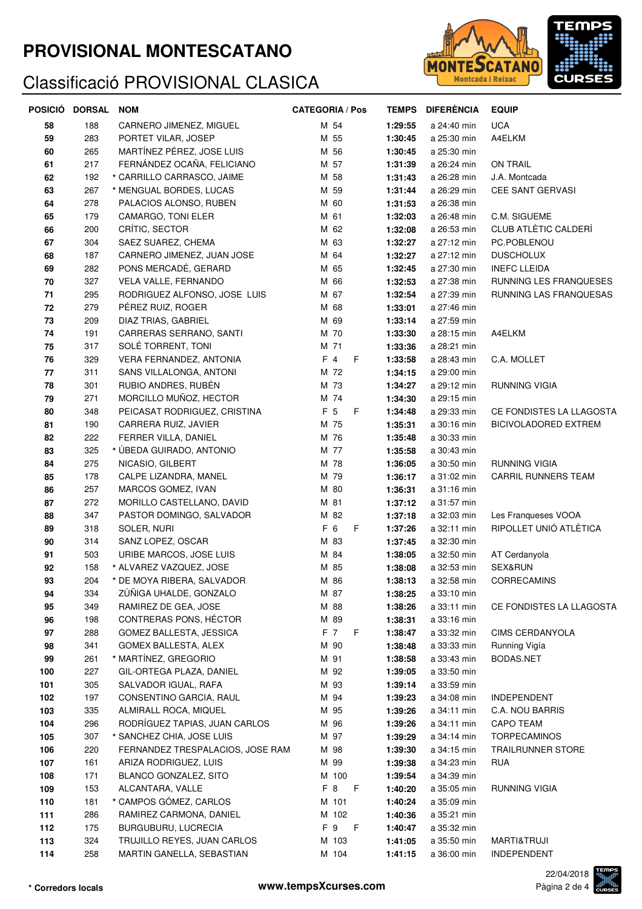## **PROVISIONAL MONTESCATANO**

## Classificació PROVISIONAL CLASICA



|            | POSICIÓ DORSAL NOM |                                  | <b>CATEGORIA / Pos</b> | <b>TEMPS</b> | <b>DIFERÈNCIA</b> | <b>EQUIP</b>                |
|------------|--------------------|----------------------------------|------------------------|--------------|-------------------|-----------------------------|
| 58         | 188                | CARNERO JIMENEZ, MIGUEL          | M 54                   | 1:29:55      | a 24:40 min       | <b>UCA</b>                  |
| 59         | 283                | PORTET VILAR, JOSEP              | M 55                   | 1:30:45      | a 25:30 min       | A4ELKM                      |
| 60         | 265                | MARTÍNEZ PÉREZ, JOSE LUIS        | M 56                   | 1:30:45      | a 25:30 min       |                             |
| 61         | 217                | FERNÁNDEZ OCAÑA, FELICIANO       | M 57                   | 1:31:39      | a 26:24 min       | <b>ON TRAIL</b>             |
| 62         | 192                | * CARRILLO CARRASCO, JAIME       | M 58                   | 1:31:43      | a 26:28 min       | J.A. Montcada               |
| 63         | 267                | * MENGUAL BORDES, LUCAS          | M 59                   | 1:31:44      | a 26:29 min       | CEE SANT GERVASI            |
| 64         | 278                | PALACIOS ALONSO, RUBEN           | M 60                   | 1:31:53      | a 26:38 min       |                             |
| 65         | 179                | CAMARGO, TONI ELER               | M 61                   | 1:32:03      | a 26:48 min       | C.M. SIGUEME                |
| 66         | 200                | CRÍTIC, SECTOR                   | M 62                   | 1:32:08      | a 26:53 min       | CLUB ATLÈTIC CALDERÍ        |
| 67         | 304                | SAEZ SUAREZ, CHEMA               | M 63                   | 1:32:27      | a 27:12 min       | PC.POBLENOU                 |
| 68         | 187                | CARNERO JIMENEZ, JUAN JOSE       | M 64                   | 1:32:27      | a 27:12 min       | <b>DUSCHOLUX</b>            |
| 69         | 282                | PONS MERCADÉ, GERARD             | M 65                   | 1:32:45      | a 27:30 min       | <b>INEFC LLEIDA</b>         |
| 70         | 327                | VELA VALLE, FERNANDO             | M 66                   | 1:32:53      | a 27:38 min       | RUNNING LES FRANQUESES      |
| 71         | 295                | RODRIGUEZ ALFONSO, JOSE LUIS     | M 67                   | 1:32:54      | a 27:39 min       | RUNNING LAS FRANQUESAS      |
| ${\bf 72}$ | 279                | PÉREZ RUIZ, ROGER                | M 68                   | 1:33:01      | a 27:46 min       |                             |
| 73         | 209                | DIAZ TRIAS, GABRIEL              | M 69                   | 1:33:14      | a 27:59 min       |                             |
| 74         | 191                | CARRERAS SERRANO, SANTI          | M 70                   | 1:33:30      | a 28:15 min       | A4ELKM                      |
| 75         | 317                | SOLÉ TORRENT, TONI               | M 71                   | 1:33:36      | a 28:21 min       |                             |
| 76         | 329                | VERA FERNANDEZ, ANTONIA          | $F$ 4<br>F             | 1:33:58      | a 28:43 min       | C.A. MOLLET                 |
| 77         | 311                | SANS VILLALONGA, ANTONI          | M 72                   | 1:34:15      | a 29:00 min       |                             |
| 78         | 301                | RUBIO ANDRES, RUBÉN              | M 73                   | 1:34:27      | a 29:12 min       | RUNNING VIGIA               |
| 79         | 271                | MORCILLO MUÑOZ, HECTOR           | M 74                   | 1:34:30      | a 29:15 min       |                             |
| 80         | 348                | PEICASAT RODRIGUEZ, CRISTINA     | F 5<br>F               | 1:34:48      | a 29:33 min       | CE FONDISTES LA LLAGOSTA    |
| 81         | 190                | CARRERA RUIZ, JAVIER             | M 75                   | 1:35:31      | a 30:16 min       | <b>BICIVOLADORED EXTREM</b> |
| 82         | 222                | FERRER VILLA, DANIEL             | M 76                   | 1:35:48      | a 30:33 min       |                             |
| 83         | 325                | * ÚBEDA GUIRADO, ANTONIO         | M 77                   | 1:35:58      | a 30:43 min       |                             |
| 84         | 275                | NICASIO, GILBERT                 | M 78                   | 1:36:05      | a 30:50 min       | <b>RUNNING VIGIA</b>        |
| 85         | 178                | CALPE LIZANDRA, MANEL            | M 79                   | 1:36:17      | a 31:02 min       | CARRIL RUNNERS TEAM         |
| 86         | 257                | MARCOS GOMEZ, IVAN               | M 80                   | 1:36:31      | a 31:16 min       |                             |
| 87         | 272                | MORILLO CASTELLANO, DAVID        | M 81                   | 1:37:12      | a 31:57 min       |                             |
| 88         | 347                | PASTOR DOMINGO, SALVADOR         | M 82                   | 1:37:18      | a 32:03 min       | Les Franqueses VOOA         |
| 89         | 318                | SOLER, NURI                      | F 6<br>F               | 1:37:26      | a 32:11 min       | RIPOLLET UNIÓ ATLÈTICA      |
| 90         | 314                | SANZ LOPEZ, OSCAR                | M 83                   | 1:37:45      | a 32:30 min       |                             |
| 91         | 503                | URIBE MARCOS, JOSE LUIS          | M 84                   | 1:38:05      | a 32:50 min       | AT Cerdanyola               |
| 92         | 158                | * ALVAREZ VAZQUEZ, JOSE          | M 85                   | 1:38:08      | a 32:53 min       | SEX&RUN                     |
| 93         | 204                | * DE MOYA RIBERA, SALVADOR       | M 86                   | 1:38:13      | a 32:58 min       | <b>CORRECAMINS</b>          |
| 94         | 334                | ZÜÑIGA UHALDE, GONZALO           | M 87                   | 1:38:25      | a 33:10 min       |                             |
| 95         | 349                | RAMIREZ DE GEA, JOSE             | M 88                   | 1:38:26      | a 33:11 min       | CE FONDISTES LA LLAGOSTA    |
| 96         | 198                | CONTRERAS PONS, HÉCTOR           | M 89                   | 1:38:31      | a 33:16 min       |                             |
| 97         | 288                | GOMEZ BALLESTA, JESSICA          | F 7<br>F.              | 1:38:47      | a 33:32 min       | <b>CIMS CERDANYOLA</b>      |
| 98         | 341                | GOMEX BALLESTA, ALEX             | M 90                   | 1:38:48      | a 33:33 min       | Running Vigía               |
| 99         | 261                | * MARTÍNEZ, GREGORIO             | M 91                   | 1:38:58      | a 33:43 min       | BODAS.NET                   |
| 100        | 227                | GIL-ORTEGA PLAZA, DANIEL         | M 92                   | 1:39:05      | a 33:50 min       |                             |
| 101        | 305                | SALVADOR IGUAL, RAFA             | M 93                   | 1:39:14      | a 33:59 min       |                             |
| 102        | 197                | CONSENTINO GARCIA, RAUL          | M 94                   | 1:39:23      | a 34:08 min       | INDEPENDENT                 |
| 103        | 335                | ALMIRALL ROCA, MIQUEL            | M 95                   | 1:39:26      | a 34:11 min       | C.A. NOU BARRIS             |
| 104        | 296                | RODRÍGUEZ TAPIAS, JUAN CARLOS    | M 96                   | 1:39:26      | a 34:11 min       | CAPO TEAM                   |
| 105        | 307                | * SANCHEZ CHIA, JOSE LUIS        | M 97                   | 1:39:29      | a 34:14 min       | TORPECAMINOS                |
| 106        | 220                | FERNANDEZ TRESPALACIOS, JOSE RAM | M 98                   | 1:39:30      | a 34:15 min       | TRAILRUNNER STORE           |
| 107        | 161                | ARIZA RODRIGUEZ, LUIS            | M 99                   | 1:39:38      | a 34:23 min       | RUA                         |
| 108        | 171                | BLANCO GONZALEZ, SITO            | M 100                  | 1:39:54      | a 34:39 min       |                             |
| 109        | 153                | ALCANTARA, VALLE                 | F <sub>8</sub><br>F    | 1:40:20      | a 35:05 min       | RUNNING VIGIA               |
| 110        | 181                | * CAMPOS GÓMEZ, CARLOS           | M 101                  | 1:40:24      | a 35:09 min       |                             |
| 111        | 286                | RAMIREZ CARMONA, DANIEL          | M 102                  | 1:40:36      | a 35:21 min       |                             |
| 112        | 175                | BURGUBURU, LUCRECIA              | F 9<br>$-F$            | 1:40:47      | a 35:32 min       |                             |
| 113        | 324                | TRUJILLO REYES, JUAN CARLOS      | M 103                  | 1:41:05      | a 35:50 min       | MARTI&TRUJI                 |
| 114        | 258                | MARTIN GANELLA, SEBASTIAN        | M 104                  | 1:41:15      | a 36:00 min       | INDEPENDENT                 |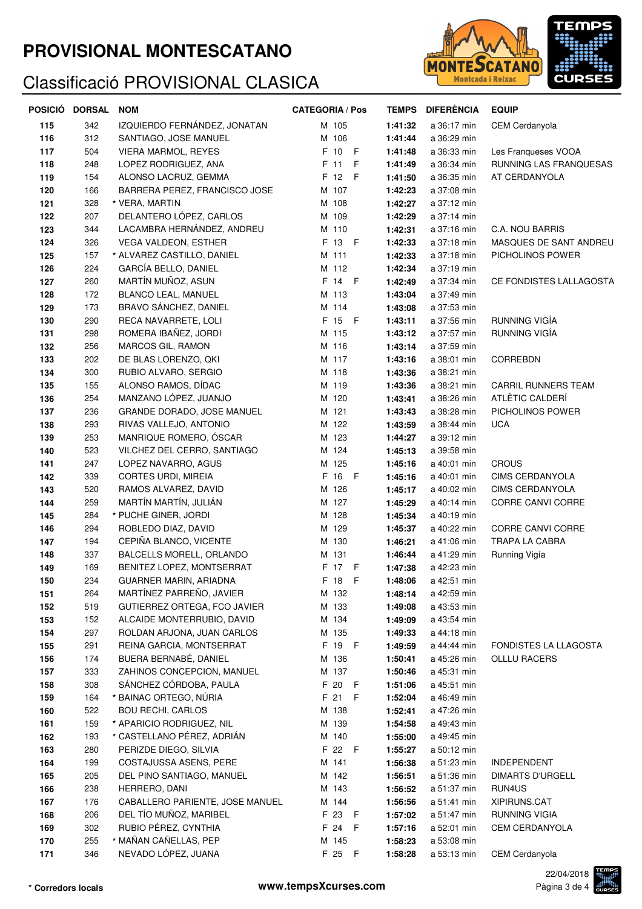## **PROVISIONAL MONTESCATANO**

## Classificació PROVISIONAL CLASICA



| POSICIÓ | <b>DORSAL</b> | <b>NOM</b>                      | <b>CATEGORIA / Pos</b> | <b>TEMPS</b> | <b>DIFERÈNCIA</b> | <b>EQUIP</b>               |
|---------|---------------|---------------------------------|------------------------|--------------|-------------------|----------------------------|
| 115     | 342           | IZQUIERDO FERNÁNDEZ, JONATAN    | M 105                  | 1:41:32      | a 36:17 min       | CEM Cerdanyola             |
| 116     | 312           | SANTIAGO, JOSE MANUEL           | M 106                  | 1:41:44      | a 36:29 min       |                            |
| 117     | 504           | VIERA MARMOL, REYES             | F 10 F                 | 1:41:48      | a 36:33 min       | Les Franqueses VOOA        |
| 118     | 248           | LOPEZ RODRIGUEZ, ANA            | F 11<br>F              | 1:41:49      | a 36:34 min       | RUNNING LAS FRANQUESAS     |
| 119     | 154           | ALONSO LACRUZ, GEMMA            | F 12<br>- F            | 1:41:50      | a 36:35 min       | AT CERDANYOLA              |
| 120     | 166           | BARRERA PEREZ, FRANCISCO JOSE   | M 107                  | 1:42:23      | a 37:08 min       |                            |
| 121     | 328           | * VERA, MARTIN                  | M 108                  | 1:42:27      | a 37:12 min       |                            |
| 122     | 207           | DELANTERO LÓPEZ, CARLOS         | M 109                  | 1:42:29      | a 37:14 min       |                            |
| 123     | 344           | LACAMBRA HERNÁNDEZ, ANDREU      | M 110                  | 1:42:31      | a 37:16 min       | C.A. NOU BARRIS            |
| 124     | 326           | VEGA VALDEON, ESTHER            | F 13 F                 | 1:42:33      | a 37:18 min       | MASQUES DE SANT ANDREU     |
| 125     | 157           | * ALVAREZ CASTILLO, DANIEL      | M 111                  | 1:42:33      | a 37:18 min       | PICHOLINOS POWER           |
| 126     | 224           | GARCÍA BELLO, DANIEL            | M 112                  | 1:42:34      | a 37:19 min       |                            |
| 127     | 260           | MARTÍN MUÑOZ, ASUN              | F 14 F                 | 1:42:49      | a 37:34 min       | CE FONDISTES LALLAGOSTA    |
| 128     | 172           | BLANCO LEAL, MANUEL             | M 113                  | 1:43:04      | a 37:49 min       |                            |
| 129     | 173           | BRAVO SÁNCHEZ, DANIEL           | M 114                  | 1:43:08      | a 37:53 min       |                            |
| 130     | 290           | RECA NAVARRETE, LOLI            | F 15 F                 | 1:43:11      | a 37:56 min       | RUNNING VIGÍA              |
| 131     | 298           | ROMERA IBAÑEZ, JORDI            | M 115                  | 1:43:12      | a 37:57 min       | RUNNING VIGÍA              |
| 132     | 256           | MARCOS GIL, RAMON               | M 116                  | 1:43:14      | a 37:59 min       |                            |
| 133     | 202           | DE BLAS LORENZO, QKI            | M 117                  | 1:43:16      | a 38:01 min       | CORREBDN                   |
| 134     | 300           | RUBIO ALVARO, SERGIO            | M 118                  | 1:43:36      | a 38:21 min       |                            |
| 135     | 155           | ALONSO RAMOS, DÍDAC             | M 119                  | 1:43:36      | a 38:21 min       | <b>CARRIL RUNNERS TEAM</b> |
| 136     | 254           | MANZANO LÓPEZ, JUANJO           | M 120                  | 1:43:41      | a 38:26 min       | ATLÈTIC CALDERÍ            |
| 137     | 236           | GRANDE DORADO, JOSE MANUEL      | M 121                  | 1:43:43      | a 38:28 min       | PICHOLINOS POWER           |
| 138     | 293           | RIVAS VALLEJO, ANTONIO          | M 122                  | 1:43:59      | a 38:44 min       | <b>UCA</b>                 |
| 139     | 253           | MANRIQUE ROMERO, ÓSCAR          | M 123                  | 1:44:27      | a 39:12 min       |                            |
| 140     | 523           | VILCHEZ DEL CERRO, SANTIAGO     | M 124                  | 1:45:13      | a 39:58 min       |                            |
| 141     | 247           | LOPEZ NAVARRO, AGUS             | M 125                  | 1:45:16      | a 40:01 min       | <b>CROUS</b>               |
| 142     | 339           | CORTES URDI, MIREIA             | F 16 F                 | 1:45:16      | a 40:01 min       | <b>CIMS CERDANYOLA</b>     |
| 143     | 520           | RAMOS ALVAREZ, DAVID            | M 126                  | 1:45:17      | a 40:02 min       | <b>CIMS CERDANYOLA</b>     |
| 144     | 259           | MARTÍN MARTÍN, JULIÁN           | M 127                  | 1:45:29      | a 40:14 min       | CORRE CANVI CORRE          |
| 145     | 284           | * PUCHE GINER, JORDI            | M 128                  | 1:45:34      | a 40:19 min       |                            |
| 146     | 294           | ROBLEDO DIAZ, DAVID             | M 129                  | 1:45:37      | a 40:22 min       | <b>CORRE CANVI CORRE</b>   |
| 147     | 194           | CEPIÑA BLANCO, VICENTE          | M 130                  | 1:46:21      | a 41:06 min       | <b>TRAPA LA CABRA</b>      |
| 148     | 337           | BALCELLS MORELL, ORLANDO        | M 131                  | 1:46:44      | a 41:29 min       | Running Vigía              |
| 149     | 169           | BENITEZ LOPEZ, MONTSERRAT       | F 17 F                 | 1:47:38      | a 42:23 min       |                            |
| 150     | 234           | GUARNER MARIN, ARIADNA          | F 18<br>F              | 1:48:06      | a 42:51 min       |                            |
| 151     | 264           | MARTÍNEZ PARREÑO, JAVIER        | M 132                  | 1:48:14      | a 42:59 min       |                            |
| 152     | 519           | GUTIERREZ ORTEGA, FCO JAVIER    | M 133                  | 1:49:08      | a 43:53 min       |                            |
| 153     | 152           | ALCAIDE MONTERRUBIO, DAVID      | M 134                  | 1:49:09      | a 43:54 min       |                            |
| 154     | 297           | ROLDAN ARJONA, JUAN CARLOS      | M 135                  | 1:49:33      | a 44:18 min       |                            |
| 155     | 291           | REINA GARCIA, MONTSERRAT        | F 19 F                 | 1:49:59      | a 44:44 min       | FONDISTES LA LLAGOSTA      |
| 156     | 174           | BUERA BERNABÉ, DANIEL           | M 136                  | 1:50:41      | a 45:26 min       | OLLLU RACERS               |
| 157     | 333           | ZAHINOS CONCEPCION, MANUEL      | M 137                  | 1:50:46      | a 45:31 min       |                            |
| 158     | 308           | SÁNCHEZ CÓRDOBA, PAULA          | F 20 F                 | 1:51:06      | a 45:51 min       |                            |
| 159     | 164           | * BAINAC ORTEGO, NÚRIA          | F 21 F                 | 1:52:04      | a 46:49 min       |                            |
| 160     | 522           | <b>BOU RECHI, CARLOS</b>        | M 138                  | 1:52:41      | a 47:26 min       |                            |
| 161     | 159           | * APARICIO RODRIGUEZ, NIL       | M 139                  | 1:54:58      | a 49:43 min       |                            |
| 162     | 193           | * CASTELLANO PÉREZ, ADRIÁN      | M 140                  | 1:55:00      | a 49:45 min       |                            |
| 163     | 280           | PERIZDE DIEGO, SILVIA           | F 22 F                 | 1:55:27      | a 50:12 min       |                            |
| 164     | 199           | COSTAJUSSA ASENS, PERE          | M 141                  | 1:56:38      | a 51:23 min       | INDEPENDENT                |
| 165     | 205           | DEL PINO SANTIAGO, MANUEL       | M 142                  | 1:56:51      | a 51:36 min       | <b>DIMARTS D'URGELL</b>    |
| 166     | 238           | HERRERO, DANI                   | M 143                  | 1:56:52      | a 51:37 min       | RUN4US                     |
| 167     | 176           | CABALLERO PARIENTE, JOSE MANUEL | M 144                  | 1:56:56      | a 51:41 min       | XIPIRUNS.CAT               |
| 168     | 206           | DEL TÍO MUÑOZ, MARIBEL          | F 23 F                 | 1:57:02      | a 51:47 min       | RUNNING VIGIA              |
| 169     | 302           | RUBIO PÉREZ, CYNTHIA            | F 24 F                 | 1:57:16      | a 52:01 min       | CEM CERDANYOLA             |
| 170     | 255           | * MAÑAN CAÑELLAS, PEP           | M 145                  | 1:58:23      | a 53:08 min       |                            |
| 171     | 346           | NEVADO LÓPEZ, JUANA             | F 25 F                 | 1:58:28      | a 53:13 min       | CEM Cerdanyola             |